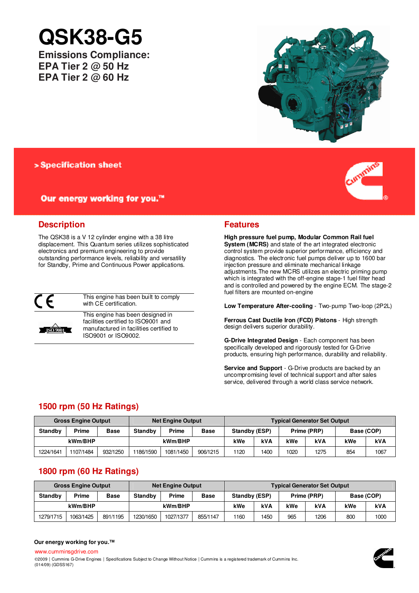# **QSK38-G5**

**Emissions Compliance: EPA Tier 2 @ 50 Hz EPA Tier 2 @ 60 Hz**



> Specification sheet

# Our energy working for you.™

# **Description**

The QSK38 is a V 12 cylinder engine with a 38 litre displacement. This Quantum series utilizes sophisticated electronics and premium engineering to provide outstanding performance levels, reliability and versatility for Standby, Prime and Continuous Power applications.



**ISO** 9001

This engine has been built to comply with CE certification.

This engine has been designed in facilities certified to ISO9001 and manufactured in facilities certified to ISO9001 or ISO9002.

# **Features**

**High pressure fuel pump, Modular Common Rail fuel System (MCRS)** and state of the art integrated electronic control system provide superior performance, efficiency and diagnostics. The electronic fuel pumps deliver up to 1600 bar injection pressure and eliminate mechanical linkage adjustments.The new MCRS utilizes an electric priming pump which is integrated with the off-engine stage-1 fuel filter head and is controlled and powered by the engine ECM. The stage-2 fuel filters are mounted on-engine

**Low Temperature After-cooling** - Two-pump Two-loop (2P2L)

**Ferrous Cast Ductile Iron (FCD) Pistons** - High strength design delivers superior durability.

**G-Drive Integrated Design** - Each component has been specifically developed and rigorously tested for G-Drive products, ensuring high performance, durability and reliability.

**Service and Support** - G-Drive products are backed by an uncompromising level of technical support and after sales service, delivered through a world class service network.

# **1500 rpm (50 Hz Ratings)**

| <b>Gross Engine Output</b> |           |             |           | Net Engine Output |             | <b>Typical Generator Set Output</b> |                              |      |      |            |      |  |
|----------------------------|-----------|-------------|-----------|-------------------|-------------|-------------------------------------|------------------------------|------|------|------------|------|--|
| <b>Standby</b>             | Prime     | <b>Base</b> | Standby   | Prime             | <b>Base</b> |                                     | Standby (ESP)<br>Prime (PRP) |      |      | Base (COP) |      |  |
| kWm/BHP                    |           |             |           | kWm/BHP           |             | kWe                                 | <b>kVA</b>                   | kWe  | kVA  | kWe        | kVA  |  |
| 1224/1641                  | 1107/1484 | 932/1250    | 1186/1590 | 1081/1450         | 906/1215    | 1120                                | 1400                         | 1020 | 1275 | 854        | 1067 |  |

# **1800 rpm (60 Hz Ratings)**

|                | <b>Gross Engine Output</b> |             | <b>Net Engine Output</b> |           |             | <b>Typical Generator Set Output</b> |      |     |      |            |            |
|----------------|----------------------------|-------------|--------------------------|-----------|-------------|-------------------------------------|------|-----|------|------------|------------|
| <b>Standby</b> | Prime                      | <b>Base</b> | <b>Standby</b>           | Prime     | <b>Base</b> | Standby (ESP)<br>Prime (PRP)        |      |     |      | Base (COP) |            |
| kWm/BHP        |                            |             |                          | kWm/BHP   |             | kWe                                 | kVA  | kWe | kVA  | kWe        | <b>kVA</b> |
| 1279/1715      | 1063/1425                  | 891/1195    | 1230/1650                | 1027/1377 | 855/1147    | 1160                                | 1450 | 965 | 1206 | 800        | 1000       |

## **Our energy working for you.™**